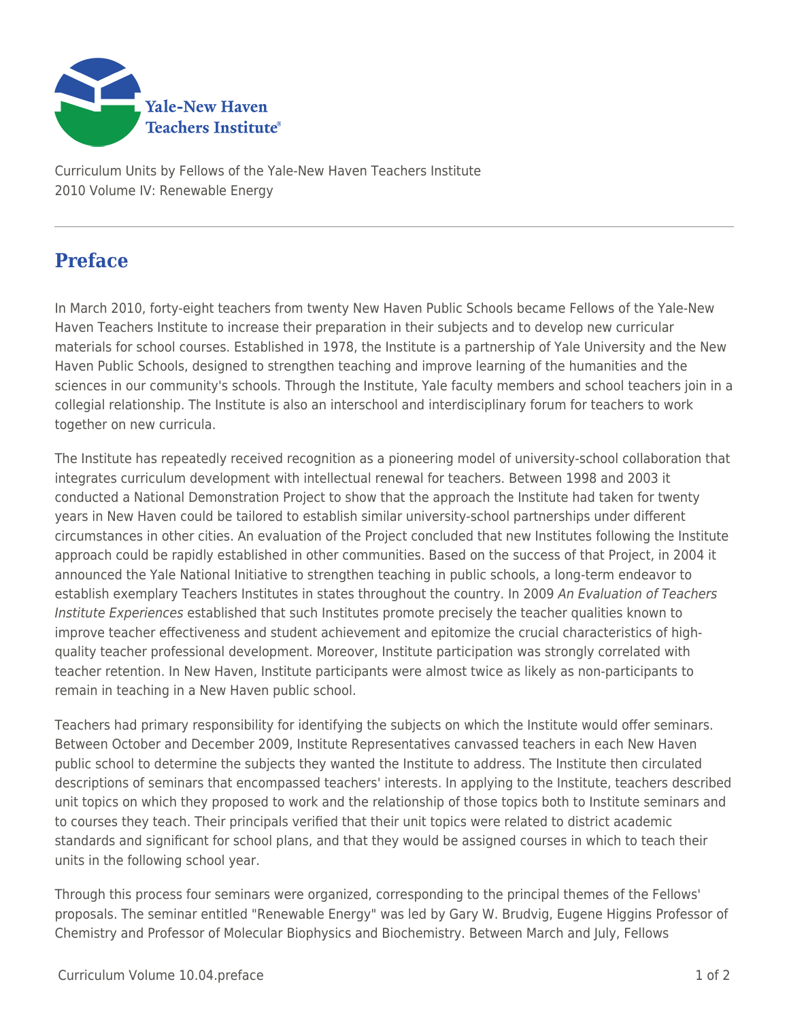

Curriculum Units by Fellows of the Yale-New Haven Teachers Institute 2010 Volume IV: Renewable Energy

## **Preface**

In March 2010, forty-eight teachers from twenty New Haven Public Schools became Fellows of the Yale-New Haven Teachers Institute to increase their preparation in their subjects and to develop new curricular materials for school courses. Established in 1978, the Institute is a partnership of Yale University and the New Haven Public Schools, designed to strengthen teaching and improve learning of the humanities and the sciences in our community's schools. Through the Institute, Yale faculty members and school teachers join in a collegial relationship. The Institute is also an interschool and interdisciplinary forum for teachers to work together on new curricula.

The Institute has repeatedly received recognition as a pioneering model of university-school collaboration that integrates curriculum development with intellectual renewal for teachers. Between 1998 and 2003 it conducted a National Demonstration Project to show that the approach the Institute had taken for twenty years in New Haven could be tailored to establish similar university-school partnerships under different circumstances in other cities. An evaluation of the Project concluded that new Institutes following the Institute approach could be rapidly established in other communities. Based on the success of that Project, in 2004 it announced the Yale National Initiative to strengthen teaching in public schools, a long-term endeavor to establish exemplary Teachers Institutes in states throughout the country. In 2009 An Evaluation of Teachers Institute Experiences established that such Institutes promote precisely the teacher qualities known to improve teacher effectiveness and student achievement and epitomize the crucial characteristics of highquality teacher professional development. Moreover, Institute participation was strongly correlated with teacher retention. In New Haven, Institute participants were almost twice as likely as non-participants to remain in teaching in a New Haven public school.

Teachers had primary responsibility for identifying the subjects on which the Institute would offer seminars. Between October and December 2009, Institute Representatives canvassed teachers in each New Haven public school to determine the subjects they wanted the Institute to address. The Institute then circulated descriptions of seminars that encompassed teachers' interests. In applying to the Institute, teachers described unit topics on which they proposed to work and the relationship of those topics both to Institute seminars and to courses they teach. Their principals verified that their unit topics were related to district academic standards and significant for school plans, and that they would be assigned courses in which to teach their units in the following school year.

Through this process four seminars were organized, corresponding to the principal themes of the Fellows' proposals. The seminar entitled "Renewable Energy" was led by Gary W. Brudvig, Eugene Higgins Professor of Chemistry and Professor of Molecular Biophysics and Biochemistry. Between March and July, Fellows